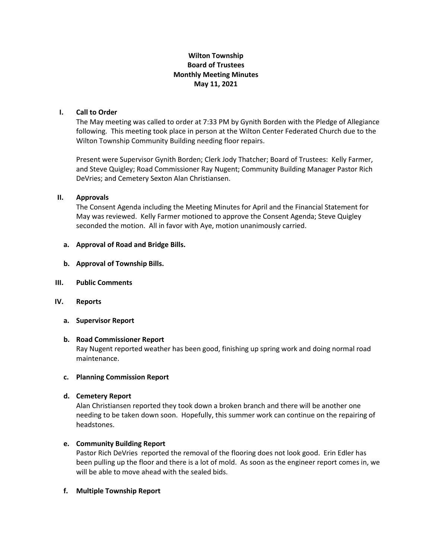# **Wilton Township Board of Trustees Monthly Meeting Minutes May 11, 2021**

# **I. Call to Order**

The May meeting was called to order at 7:33 PM by Gynith Borden with the Pledge of Allegiance following. This meeting took place in person at the Wilton Center Federated Church due to the Wilton Township Community Building needing floor repairs.

Present were Supervisor Gynith Borden; Clerk Jody Thatcher; Board of Trustees: Kelly Farmer, and Steve Quigley; Road Commissioner Ray Nugent; Community Building Manager Pastor Rich DeVries; and Cemetery Sexton Alan Christiansen.

## **II. Approvals**

The Consent Agenda including the Meeting Minutes for April and the Financial Statement for May was reviewed. Kelly Farmer motioned to approve the Consent Agenda; Steve Quigley seconded the motion. All in favor with Aye, motion unanimously carried.

## **a. Approval of Road and Bridge Bills.**

- **b. Approval of Township Bills.**
- **III. Public Comments**
- **IV. Reports**
	- **a. Supervisor Report**

#### **b. Road Commissioner Report**

Ray Nugent reported weather has been good, finishing up spring work and doing normal road maintenance.

# **c. Planning Commission Report**

# **d. Cemetery Report**

Alan Christiansen reported they took down a broken branch and there will be another one needing to be taken down soon. Hopefully, this summer work can continue on the repairing of headstones.

#### **e. Community Building Report**

Pastor Rich DeVries reported the removal of the flooring does not look good. Erin Edler has been pulling up the floor and there is a lot of mold. As soon as the engineer report comes in, we will be able to move ahead with the sealed bids.

#### **f. Multiple Township Report**